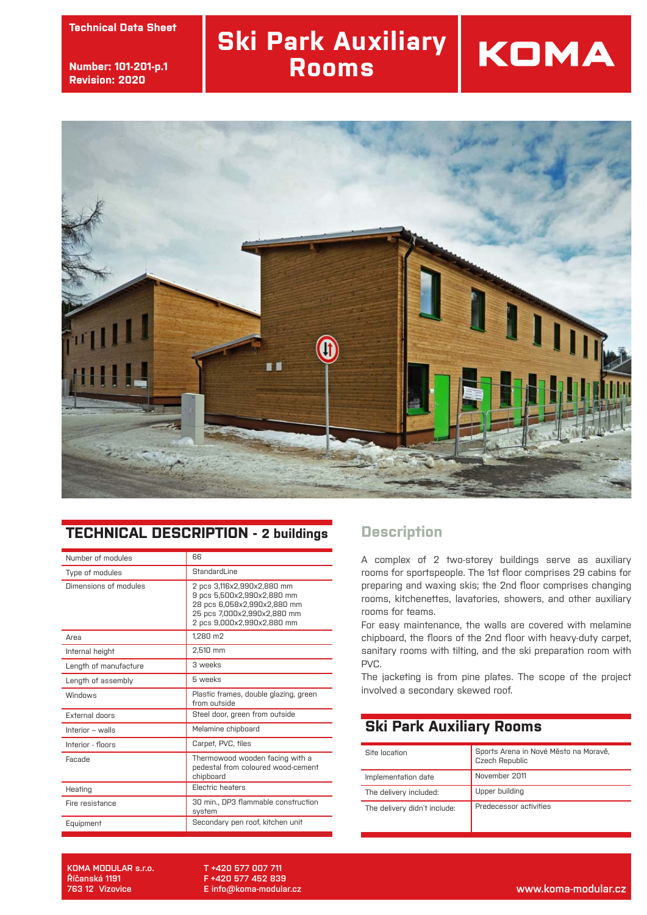**technický list Technical Data Sheet**

**číslo: 101-002-str.2 Number: 101-201-p.1 revize: 30.9.2013 Revision: 2020**

### **Ski Park Auxiliary Rooms**



### **TECHNICAL DESCRIPTION - 2 buildings**

| Number of modules     | 66                                                                                                                                                   |
|-----------------------|------------------------------------------------------------------------------------------------------------------------------------------------------|
| Type of modules       | StandardLine                                                                                                                                         |
| Dimensions of modules | 2 pcs 3,116x2,990x2,880 mm<br>9 pcs 5,500x2,990x2,880 mm<br>28 pcs 6,058x2,990x2,880 mm<br>25 pcs 7,000x2,990x2,880 mm<br>2 pcs 9,000x2,990x2,880 mm |
| Area                  | 1,280 m2                                                                                                                                             |
| Internal height       | 2,510 mm                                                                                                                                             |
| Length of manufacture | 3 weeks                                                                                                                                              |
| Length of assembly    | 5 weeks                                                                                                                                              |
| Windnws               | Plastic frames, double glazing, green<br>from outside                                                                                                |
| <b>External doors</b> | Steel door, green from outside                                                                                                                       |
| Interior - walls      | Melamine chipboard                                                                                                                                   |
| Interior - floors     | Carpet, PVC, tiles                                                                                                                                   |
| Facade                | Thermowood wooden facing with a<br>pedestal from coloured wood-cement<br>chipboard                                                                   |
| Heating               | <b>Electric heaters</b>                                                                                                                              |
| Fire resistance       | 30 min., DP3 flammable construction<br>system                                                                                                        |
| Equipment             | Secondary pen roof, kitchen unit                                                                                                                     |

#### **Description**

A complex of 2 two-storey buildings serve as auxiliary rooms for sportspeople. The 1st floor comprises 29 cabins for preparing and waxing skis; the 2nd floor comprises changing rooms, kitchenettes, lavatories, showers, and other auxiliary rooms for teams.

KOMA

For easy maintenance, the walls are covered with melamine chipboard, the floors of the 2nd floor with heavy-duty carpet, sanitary rooms with tilting, and the ski preparation room with PVC.

The jacketing is from pine plates. The scope of the project involved a secondary skewed roof.

#### **Ski Park Auxiliary Rooms**

| Site Incation                | Sports Arena in Nové Město na Moravě,<br>Czech Republic |
|------------------------------|---------------------------------------------------------|
| Implementation date          | November 2011                                           |
| The delivery included:       | Upper building                                          |
| The delivery didn't include: | Predecessor activities                                  |

**KOMA MODULAR s.r.o. Říčanská 1191**

**T +420 577 007 711 F +420 577 452 839 E info@koma-modular.cz**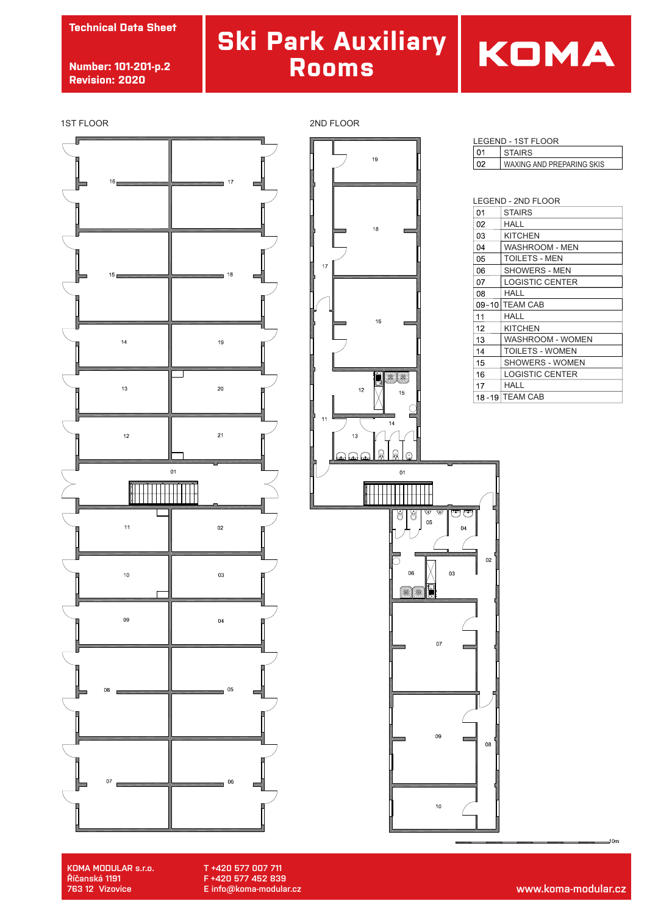**Technical Data Sheet**

**Number: 101-201-p.2 Revision: 2020**

## **Ski Park Auxiliary Rooms**

## KOMA

1ST FLOOR 2ND FLOOR





| LEGEND - 1ST FLOOR |    |                           |
|--------------------|----|---------------------------|
|                    | ብ1 | <b>STAIRS</b>             |
|                    |    | WAXING AND PREPARING SKIS |

| LEGEND - 2ND FLOOR |                         |
|--------------------|-------------------------|
| 01                 | <b>STAIRS</b>           |
| 02                 | HALL                    |
| 03                 | KITCHEN                 |
| 04                 | WASHROOM - MEN          |
| 05                 | <b>TOILETS - MEN</b>    |
| 06                 | <b>SHOWERS - MEN</b>    |
| 07                 | <b>LOGISTIC CENTER</b>  |
| 08                 | HALL                    |
| $09 - 10$          | <b>TEAM CAB</b>         |
| 11                 | HALL                    |
| 12                 | KITCHEN                 |
| 13                 | <b>WASHROOM - WOMEN</b> |
| 14                 | <b>TOILETS - WOMEN</b>  |
| 15                 | <b>SHOWERS - WOMEN</b>  |
| 16                 | LOGISTIC CENTER         |
| 17                 | HALL                    |
|                    | 18-19 TEAM CAB          |



**KOMA MODULAR s.r.o. Říčanská 1191**

**T +420 577 007 711 F +420 577 452 839 E info@koma-modular.cz**  $10m$